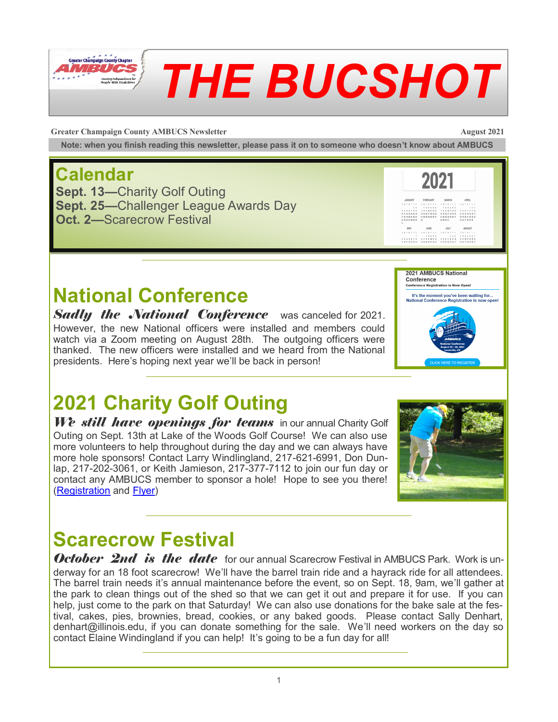

# *THE BUCSHOT*

**Greater Champaign County AMBUCS Newsletter August 2021** 

2021

2021 AMBUCS National Conference

-------<br>rence Registration is Now Onen! It's the moment you've been waiting for...<br>ational Conference Registration is now one

**2245671 4789** 

**Note: when you finish reading this newsletter, please pass it on to someone who doesn't know about AMBUCS**

#### **Calendar**

**Sept. 13—**Charity Golf Outing **Sept. 25—**Challenger League Awards Day **Oct. 2—**Scarecrow Festival

#### **National Conference**

**Sadly the** *National Conference* was canceled for 2021. However, the new National officers were installed and members could watch via a Zoom meeting on August 28th. The outgoing officers were thanked. The new officers were installed and we heard from the National presidents. Here's hoping next year we'll be back in person!

# **2021 Charity Golf Outing**

We still have openings for teams in our annual Charity Golf Outing on Sept. 13th at Lake of the Woods Golf Course! We can also use more volunteers to help throughout during the day and we can always have more hole sponsors! Contact Larry Windlingland, 217-621-6991, Don Dunlap, 217-202-3061, or Keith Jamieson, 217-377-7112 to join our fun day or contact any AMBUCS member to sponsor a hole! Hope to see you there! [\(Registration](https://9c090c63-fa6f-4ff5-b38f-f212f3aa9041.filesusr.com/ugd/faec9f_7d6bfd25c04a4e1bb130a0c4ec1f63bb.pdf) and [Flyer\)](https://9c090c63-fa6f-4ff5-b38f-f212f3aa9041.filesusr.com/ugd/faec9f_0d90a804135e4f2abf546d654d54949c.pdf)



#### **Scarecrow Festival**

**October 2nd is the date** for our annual Scarecrow Festival in AMBUCS Park. Work is underway for an 18 foot scarecrow! We'll have the barrel train ride and a hayrack ride for all attendees. The barrel train needs it's annual maintenance before the event, so on Sept. 18, 9am, we'll gather at the park to clean things out of the shed so that we can get it out and prepare it for use. If you can help, just come to the park on that Saturday! We can also use donations for the bake sale at the festival, cakes, pies, brownies, bread, cookies, or any baked goods. Please contact Sally Denhart, denhart@illinois.edu, if you can donate something for the sale. We'll need workers on the day so contact Elaine Windingland if you can help! It's going to be a fun day for all!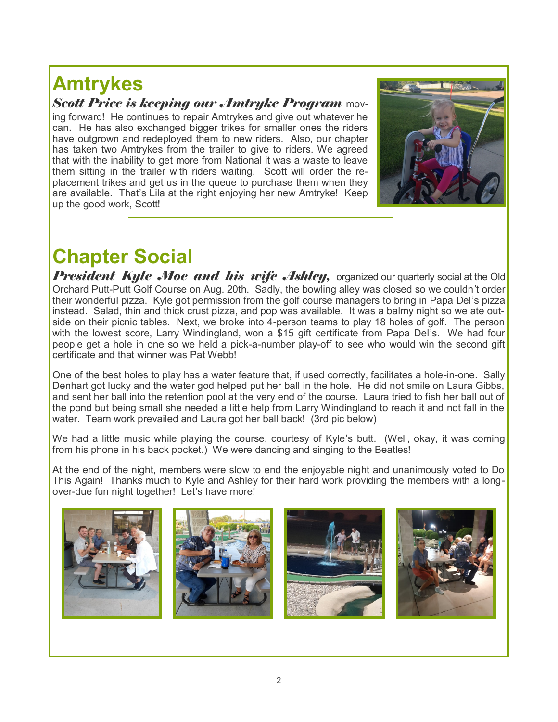# **Amtrykes**

*Scott Price is keeping our Amtryke Program* mov-

ing forward! He continues to repair Amtrykes and give out whatever he can. He has also exchanged bigger trikes for smaller ones the riders have outgrown and redeployed them to new riders. Also, our chapter has taken two Amtrykes from the trailer to give to riders. We agreed that with the inability to get more from National it was a waste to leave them sitting in the trailer with riders waiting. Scott will order the replacement trikes and get us in the queue to purchase them when they are available. That's Lila at the right enjoying her new Amtryke! Keep up the good work, Scott!



## **Chapter Social**

*President Kyle Moe and his wife Ashley,* organized our quarterly social at the Old Orchard Putt-Putt Golf Course on Aug. 20th. Sadly, the bowling alley was closed so we couldn't order their wonderful pizza. Kyle got permission from the golf course managers to bring in Papa Del's pizza instead. Salad, thin and thick crust pizza, and pop was available. It was a balmy night so we ate outside on their picnic tables. Next, we broke into 4-person teams to play 18 holes of golf. The person with the lowest score, Larry Windingland, won a \$15 gift certificate from Papa Del's. We had four people get a hole in one so we held a pick-a-number play-off to see who would win the second gift certificate and that winner was Pat Webb!

One of the best holes to play has a water feature that, if used correctly, facilitates a hole-in-one. Sally Denhart got lucky and the water god helped put her ball in the hole. He did not smile on Laura Gibbs, and sent her ball into the retention pool at the very end of the course. Laura tried to fish her ball out of the pond but being small she needed a little help from Larry Windingland to reach it and not fall in the water. Team work prevailed and Laura got her ball back! (3rd pic below)

We had a little music while playing the course, courtesy of Kyle's butt. (Well, okay, it was coming from his phone in his back pocket.) We were dancing and singing to the Beatles!

At the end of the night, members were slow to end the enjoyable night and unanimously voted to Do This Again! Thanks much to Kyle and Ashley for their hard work providing the members with a longover-due fun night together! Let's have more!

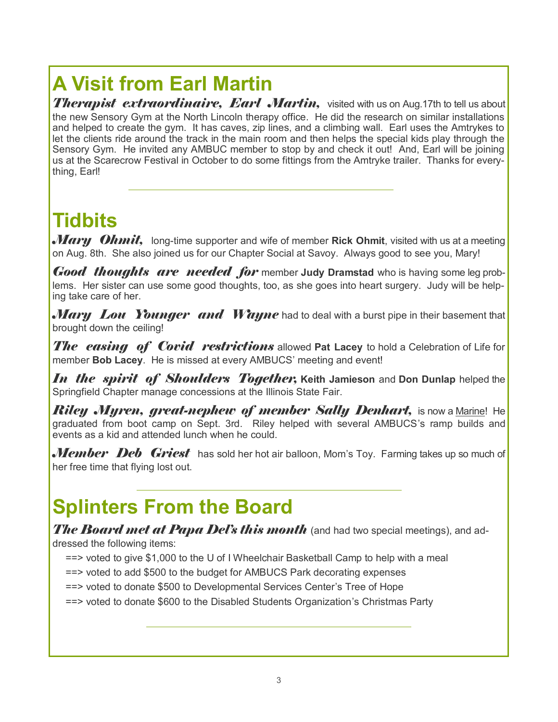# **A Visit from Earl Martin**

**Therapist extraordinaire, Earl Martin,** visited with us on Aug.17th to tell us about the new Sensory Gym at the North Lincoln therapy office. He did the research on similar installations and helped to create the gym. It has caves, zip lines, and a climbing wall. Earl uses the Amtrykes to let the clients ride around the track in the main room and then helps the special kids play through the Sensory Gym. He invited any AMBUC member to stop by and check it out! And, Earl will be joining us at the Scarecrow Festival in October to do some fittings from the Amtryke trailer. Thanks for everything, Earl!

### **Tidbits**

*Mary Ohmit,* long-time supporter and wife of member **Rick Ohmit**, visited with us at a meeting on Aug. 8th. She also joined us for our Chapter Social at Savoy. Always good to see you, Mary!

*Good thoughts are needed for* member **Judy Dramstad** who is having some leg problems. Her sister can use some good thoughts, too, as she goes into heart surgery. Judy will be helping take care of her.

*Mary Lou Younger and Wayne* had to deal with a burst pipe in their basement that brought down the ceiling!

*The easing of Covid restrictions* allowed Pat Lacey to hold a Celebration of Life for member **Bob Lacey**. He is missed at every AMBUCS' meeting and event!

*In the spirit of Shoulders Together,* **Keith Jamieson** and **Don Dunlap** helped the Springfield Chapter manage concessions at the Illinois State Fair.

*Riley Myren, great-nephew of member Sally Denhart,* **is now a <u>Marine!</u> He** graduated from boot camp on Sept. 3rd. Riley helped with several AMBUCS's ramp builds and events as a kid and attended lunch when he could.

*Member Deb Griest* has sold her hot air balloon, Mom's Toy. Farming takes up so much of her free time that flying lost out.

### **Splinters From the Board**

*The Board met at Papa Del's this month* (and had two special meetings), and addressed the following items:

- ==> voted to give \$1,000 to the U of I Wheelchair Basketball Camp to help with a meal
- ==> voted to add \$500 to the budget for AMBUCS Park decorating expenses

==> voted to donate \$500 to Developmental Services Center's Tree of Hope

==> voted to donate \$600 to the Disabled Students Organization's Christmas Party